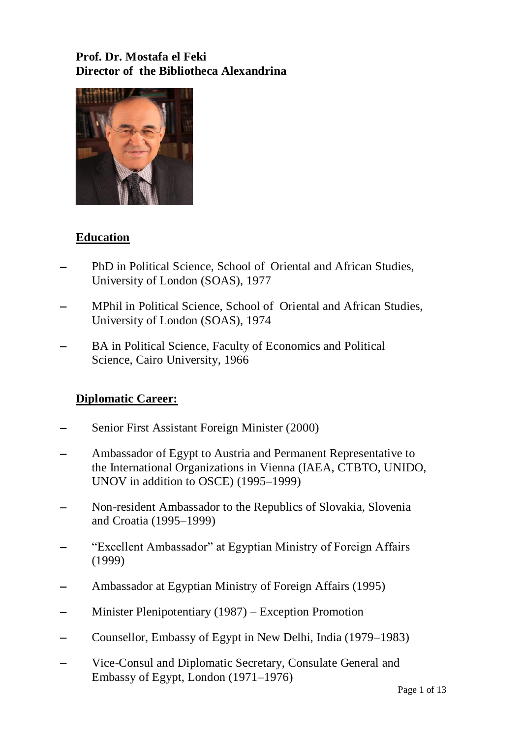# **Prof. Dr. Mostafa el Feki Director of the Bibliotheca Alexandrina**



# **Education**

- PhD in Political Science, School of Oriental and African Studies, University of London (SOAS), 1977
- MPhil in Political Science, School of Oriental and African Studies, University of London (SOAS), 1974
- BA in Political Science, Faculty of Economics and Political Science, Cairo University, 1966

# **Diplomatic Career:**

- Senior First Assistant Foreign Minister (2000)
- Ambassador of Egypt to Austria and Permanent Representative to the International Organizations in Vienna (IAEA, CTBTO, UNIDO, UNOV in addition to OSCE) (1995–1999)
- Non-resident Ambassador to the Republics of Slovakia, Slovenia and Croatia (1995–1999)
- "Excellent Ambassador" at Egyptian Ministry of Foreign Affairs (1999)
- Ambassador at Egyptian Ministry of Foreign Affairs (1995)
- Minister Plenipotentiary (1987) Exception Promotion
- Counsellor, Embassy of Egypt in New Delhi, India (1979–1983)
- Vice-Consul and Diplomatic Secretary, Consulate General and Embassy of Egypt, London (1971–1976)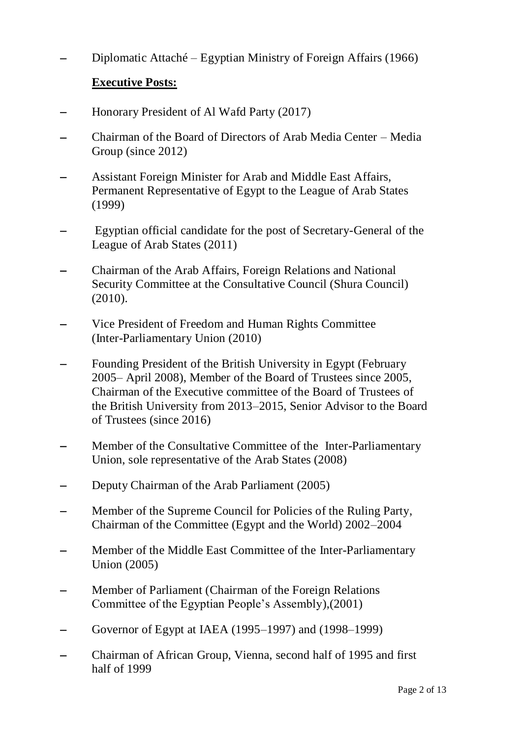Diplomatic Attaché – Egyptian Ministry of Foreign Affairs (1966)

### **Executive Posts:**

- Honorary President of Al Wafd Party (2017)
- Chairman of the Board of Directors of Arab Media Center Media Group (since 2012)
- Assistant Foreign Minister for Arab and Middle East Affairs, Permanent Representative of Egypt to the League of Arab States (1999)
- Egyptian official candidate for the post of Secretary-General of the League of Arab States (2011)
- Chairman of the Arab Affairs, Foreign Relations and National Security Committee at the Consultative Council (Shura Council) (2010).
- Vice President of Freedom and Human Rights Committee (Inter-Parliamentary Union (2010)
- Founding President of the British University in Egypt (February 2005– April 2008), Member of the Board of Trustees since 2005, Chairman of the Executive committee of the Board of Trustees of the British University from 2013–2015, Senior Advisor to the Board of Trustees (since 2016)
- Member of the Consultative Committee of the Inter-Parliamentary Union, sole representative of the Arab States (2008)
- Deputy Chairman of the Arab Parliament (2005)
- Member of the Supreme Council for Policies of the Ruling Party, Chairman of the Committee (Egypt and the World) 2002–2004
- Member of the Middle East Committee of the Inter-Parliamentary Union (2005)
- Member of Parliament (Chairman of the Foreign Relations Committee of the Egyptian People's Assembly),(2001)
- Governor of Egypt at IAEA (1995–1997) and (1998–1999)
- Chairman of African Group, Vienna, second half of 1995 and first half of 1999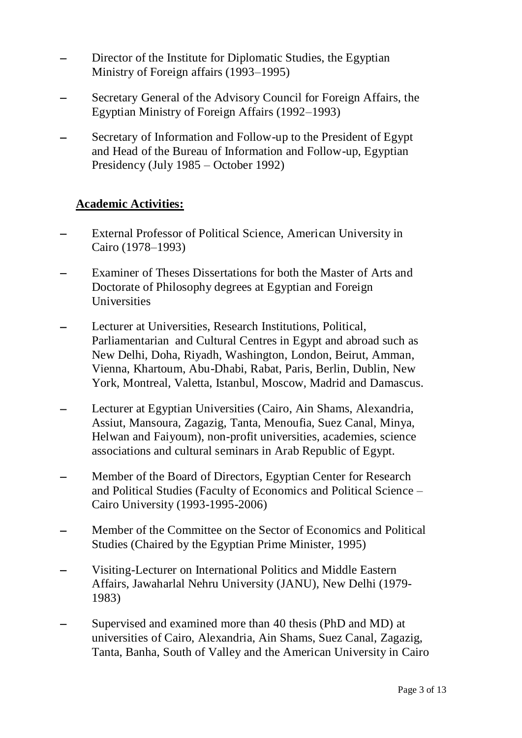- Director of the Institute for Diplomatic Studies, the Egyptian Ministry of Foreign affairs (1993–1995)
- Secretary General of the Advisory Council for Foreign Affairs, the Egyptian Ministry of Foreign Affairs (1992–1993)
- Secretary of Information and Follow-up to the President of Egypt and Head of the Bureau of Information and Follow-up, Egyptian Presidency (July 1985 – October 1992)

#### **Academic Activities:**

- External Professor of Political Science, American University in Cairo (1978–1993)
- Examiner of Theses Dissertations for both the Master of Arts and Doctorate of Philosophy degrees at Egyptian and Foreign Universities
- Lecturer at Universities, Research Institutions, Political, Parliamentarian and Cultural Centres in Egypt and abroad such as New Delhi, Doha, Riyadh, Washington, London, Beirut, Amman, Vienna, Khartoum, Abu-Dhabi, Rabat, Paris, Berlin, Dublin, New York, Montreal, Valetta, Istanbul, Moscow, Madrid and Damascus.
- Lecturer at Egyptian Universities (Cairo, Ain Shams, Alexandria, Assiut, Mansoura, Zagazig, Tanta, Menoufia, Suez Canal, Minya, Helwan and Faiyoum), non-profit universities, academies, science associations and cultural seminars in Arab Republic of Egypt.
- Member of the Board of Directors, Egyptian Center for Research and Political Studies (Faculty of Economics and Political Science – Cairo University (1993-1995-2006)
- Member of the Committee on the Sector of Economics and Political Studies (Chaired by the Egyptian Prime Minister, 1995)
- Visiting-Lecturer on International Politics and Middle Eastern Affairs, Jawaharlal Nehru University (JANU), New Delhi (1979- 1983)
- Supervised and examined more than 40 thesis (PhD and MD) at universities of Cairo, Alexandria, Ain Shams, Suez Canal, Zagazig, Tanta, Banha, South of Valley and the American University in Cairo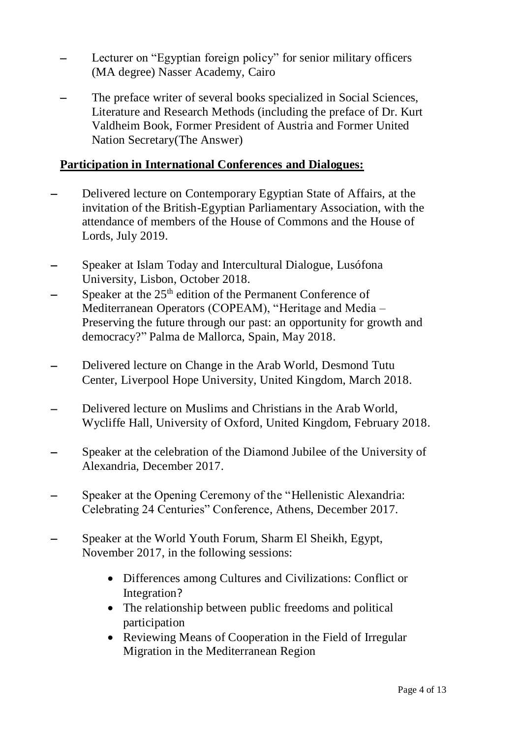- Lecturer on "Egyptian foreign policy" for senior military officers (MA degree) Nasser Academy, Cairo
- The preface writer of several books specialized in Social Sciences, Literature and Research Methods (including the preface of Dr. Kurt Valdheim Book, Former President of Austria and Former United Nation Secretary(The Answer)

#### **Participation in International Conferences and Dialogues:**

- Delivered lecture on Contemporary Egyptian State of Affairs, at the invitation of the British-Egyptian Parliamentary Association, with the attendance of members of the House of Commons and the House of Lords, July 2019.
- Speaker at Islam Today and Intercultural Dialogue, Lusófona University, Lisbon, October 2018.
- Speaker at the 25<sup>th</sup> edition of the Permanent Conference of Mediterranean Operators (COPEAM), "Heritage and Media – Preserving the future through our past: an opportunity for growth and democracy?" Palma de Mallorca, Spain, May 2018.
- Delivered lecture on Change in the Arab World, Desmond Tutu Center, Liverpool Hope University, United Kingdom, March 2018.
- Delivered lecture on Muslims and Christians in the Arab World, Wycliffe Hall, University of Oxford, United Kingdom, February 2018.
- Speaker at the celebration of the Diamond Jubilee of the University of Alexandria, December 2017.
- Speaker at the Opening Ceremony of the "Hellenistic Alexandria: Celebrating 24 Centuries" Conference, Athens, December 2017.
- Speaker at the World Youth Forum, Sharm El Sheikh, Egypt, November 2017, in the following sessions:
	- Differences among Cultures and Civilizations: Conflict or Integration?
	- The relationship between public freedoms and political participation
	- Reviewing Means of Cooperation in the Field of Irregular Migration in the Mediterranean Region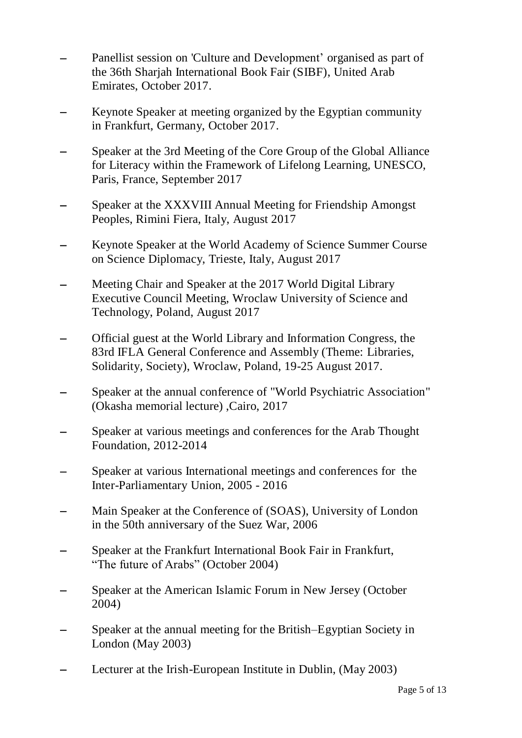- Panellist session on 'Culture and Development' organised as part of the 36th Sharjah International Book Fair (SIBF), United Arab Emirates, October 2017.
- Keynote Speaker at meeting organized by the Egyptian community in Frankfurt, Germany, October 2017.
- Speaker at the 3rd Meeting of the Core Group of the Global Alliance for Literacy within the Framework of Lifelong Learning, UNESCO, Paris, France, September 2017
- Speaker at the XXXVIII Annual Meeting for Friendship Amongst Peoples, Rimini Fiera, Italy, August 2017
- Keynote Speaker at the World Academy of Science Summer Course on Science Diplomacy, Trieste, Italy, August 2017
- Meeting Chair and Speaker at the 2017 World Digital Library Executive Council Meeting, Wroclaw University of Science and Technology, Poland, August 2017
- Official guest at the World Library and Information Congress, the 83rd IFLA General Conference and Assembly (Theme: Libraries, Solidarity, Society), Wroclaw, Poland, 19-25 August 2017.
- Speaker at the annual conference of "World Psychiatric Association" (Okasha memorial lecture) ,Cairo, 2017
- Speaker at various meetings and conferences for the Arab Thought Foundation, 2012-2014
- Speaker at various International meetings and conferences for the Inter-Parliamentary Union, 2005 - 2016
- Main Speaker at the Conference of (SOAS), University of London in the 50th anniversary of the Suez War, 2006
- Speaker at the Frankfurt International Book Fair in Frankfurt, "The future of Arabs" (October 2004)
- Speaker at the American Islamic Forum in New Jersey (October 2004)
- Speaker at the annual meeting for the British–Egyptian Society in London (May 2003)
- Lecturer at the Irish-European Institute in Dublin, (May 2003)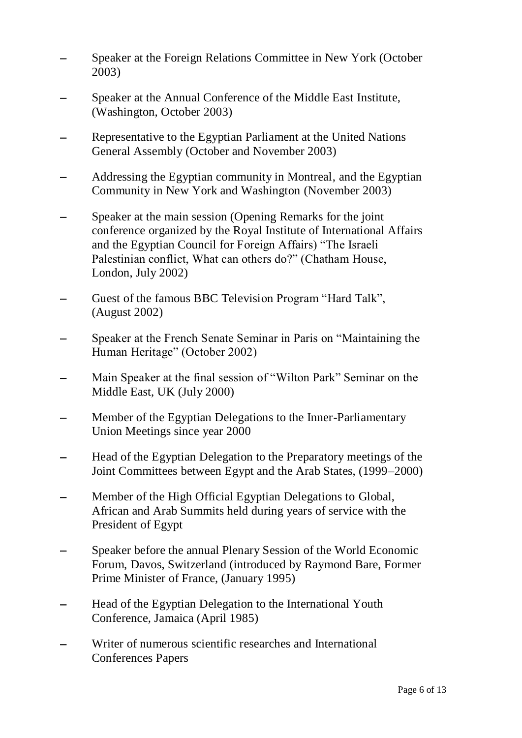- Speaker at the Foreign Relations Committee in New York (October 2003)
- Speaker at the Annual Conference of the Middle East Institute, (Washington, October 2003)
- Representative to the Egyptian Parliament at the United Nations General Assembly (October and November 2003)
- Addressing the Egyptian community in Montreal, and the Egyptian Community in New York and Washington (November 2003)
- Speaker at the main session (Opening Remarks for the joint conference organized by the Royal Institute of International Affairs and the Egyptian Council for Foreign Affairs) "The Israeli Palestinian conflict, What can others do?" (Chatham House, London, July 2002)
- Guest of the famous BBC Television Program "Hard Talk", (August 2002)
- Speaker at the French Senate Seminar in Paris on "Maintaining the Human Heritage" (October 2002)
- Main Speaker at the final session of "Wilton Park" Seminar on the Middle East, UK (July 2000)
- Member of the Egyptian Delegations to the Inner-Parliamentary Union Meetings since year 2000
- Head of the Egyptian Delegation to the Preparatory meetings of the Joint Committees between Egypt and the Arab States, (1999–2000)
- Member of the High Official Egyptian Delegations to Global, African and Arab Summits held during years of service with the President of Egypt
- Speaker before the annual Plenary Session of the World Economic Forum, Davos, Switzerland (introduced by Raymond Bare, Former Prime Minister of France, (January 1995)
- Head of the Egyptian Delegation to the International Youth Conference, Jamaica (April 1985)
- Writer of numerous scientific researches and International Conferences Papers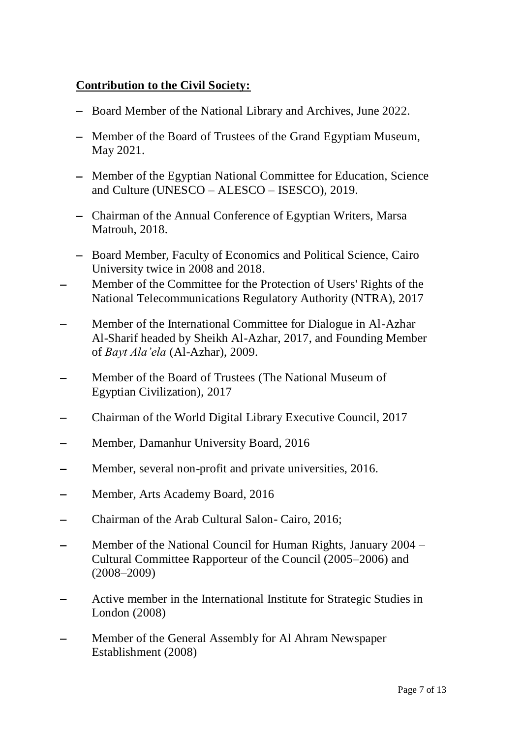### **Contribution to the Civil Society:**

- Board Member of the National Library and Archives, June 2022.
- Member of the Board of Trustees of the Grand Egyptiam Museum, May 2021.
- Member of the Egyptian National Committee for Education, Science and Culture (UNESCO – ALESCO – ISESCO), 2019.
- Chairman of the Annual Conference of Egyptian Writers, Marsa Matrouh, 2018.
- Board Member, Faculty of Economics and Political Science, Cairo University twice in 2008 and 2018.
- Member of the Committee for the Protection of Users' Rights of the National Telecommunications Regulatory Authority (NTRA), 2017
- Member of the International Committee for Dialogue in Al-Azhar Al-Sharif headed by Sheikh Al-Azhar, 2017, and Founding Member of *Bayt Ala'ela* (Al-Azhar), 2009.
- Member of the Board of Trustees (The National Museum of Egyptian Civilization), 2017
- Chairman of the World Digital Library Executive Council, 2017
- Member, Damanhur University Board, 2016
- Member, several non-profit and private universities, 2016.
- Member, Arts Academy Board, 2016
- Chairman of the Arab Cultural Salon- Cairo, 2016;
- Member of the National Council for Human Rights, January 2004 Cultural Committee Rapporteur of the Council (2005–2006) and (2008–2009)
- Active member in the International Institute for Strategic Studies in London (2008)
- Member of the General Assembly for Al Ahram Newspaper Establishment (2008)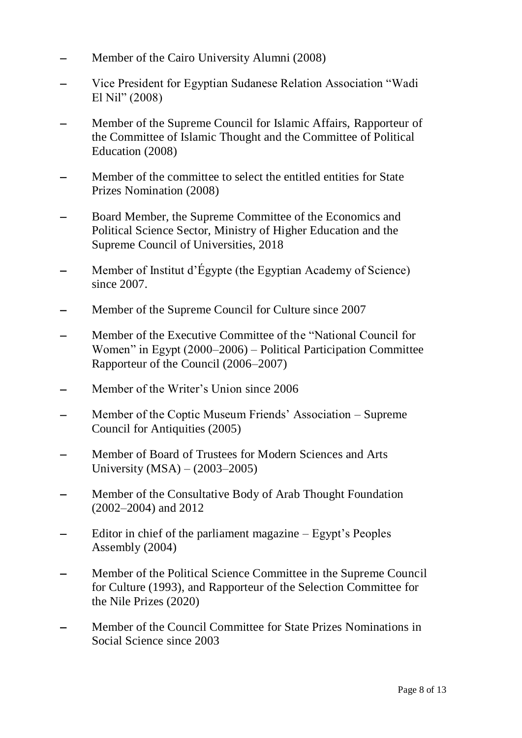- Member of the Cairo University Alumni (2008)
- Vice President for Egyptian Sudanese Relation Association "Wadi El Nil" (2008)
- Member of the Supreme Council for Islamic Affairs, Rapporteur of the Committee of Islamic Thought and the Committee of Political Education (2008)
- Member of the committee to select the entitled entities for State Prizes Nomination (2008)
- Board Member, the Supreme Committee of the Economics and Political Science Sector, Ministry of Higher Education and the Supreme Council of Universities, 2018
- Member of Institut d'Égypte (the Egyptian Academy of Science) since 2007.
- Member of the Supreme Council for Culture since 2007
- Member of the Executive Committee of the "National Council for Women" in Egypt (2000–2006) – Political Participation Committee Rapporteur of the Council (2006–2007)
- Member of the Writer's Union since 2006
- Member of the Coptic Museum Friends' Association Supreme Council for Antiquities (2005)
- Member of Board of Trustees for Modern Sciences and Arts University (MSA) – (2003–2005)
- Member of the Consultative Body of Arab Thought Foundation (2002–2004) and 2012
- Editor in chief of the parliament magazine Egypt's Peoples Assembly (2004)
- Member of the Political Science Committee in the Supreme Council for Culture (1993), and Rapporteur of the Selection Committee for the Nile Prizes (2020)
- Member of the Council Committee for State Prizes Nominations in Social Science since 2003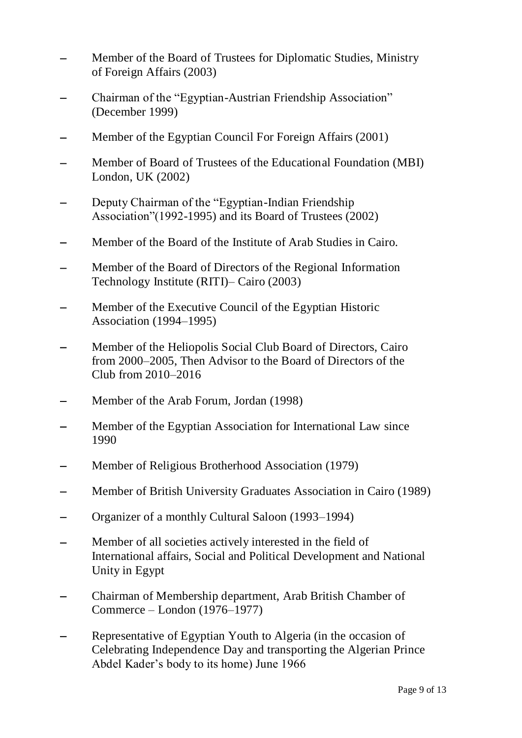- Member of the Board of Trustees for Diplomatic Studies, Ministry of Foreign Affairs (2003)
- Chairman of the "Egyptian-Austrian Friendship Association" (December 1999)
- Member of the Egyptian Council For Foreign Affairs (2001)
- Member of Board of Trustees of the Educational Foundation (MBI) London, UK (2002)
- Deputy Chairman of the "Egyptian-Indian Friendship Association"(1992-1995) and its Board of Trustees (2002)
- Member of the Board of the Institute of Arab Studies in Cairo.
- Member of the Board of Directors of the Regional Information Technology Institute (RITI)– Cairo (2003)
- Member of the Executive Council of the Egyptian Historic Association (1994–1995)
- Member of the Heliopolis Social Club Board of Directors, Cairo from 2000–2005, Then Advisor to the Board of Directors of the Club from 2010–2016
- Member of the Arab Forum, Jordan (1998)
- Member of the Egyptian Association for International Law since 1990
- Member of Religious Brotherhood Association (1979)
- Member of British University Graduates Association in Cairo (1989)
- Organizer of a monthly Cultural Saloon (1993–1994)
- Member of all societies actively interested in the field of International affairs, Social and Political Development and National Unity in Egypt
- Chairman of Membership department, Arab British Chamber of Commerce – London (1976–1977)
- Representative of Egyptian Youth to Algeria (in the occasion of Celebrating Independence Day and transporting the Algerian Prince Abdel Kader's body to its home) June 1966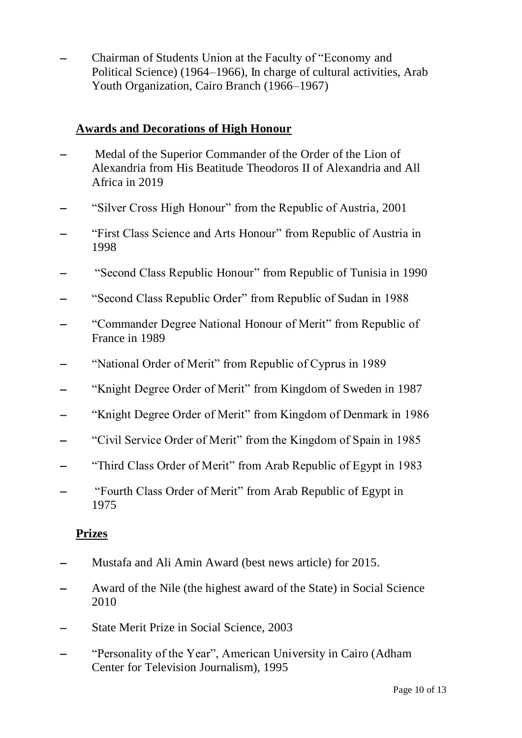Chairman of Students Union at the Faculty of "Economy and Political Science) (1964–1966), In charge of cultural activities, Arab Youth Organization, Cairo Branch (1966–1967)

### **Awards and Decorations of High Honour**

- Medal of the Superior Commander of the Order of the Lion of Alexandria from His Beatitude Theodoros II of Alexandria and All Africa in 2019
- "Silver Cross High Honour" from the Republic of Austria, 2001
- "First Class Science and Arts Honour" from Republic of Austria in 1998
- "Second Class Republic Honour" from Republic of Tunisia in 1990
- "Second Class Republic Order" from Republic of Sudan in 1988
- "Commander Degree National Honour of Merit" from Republic of France in 1989
- "National Order of Merit" from Republic of Cyprus in 1989
- "Knight Degree Order of Merit" from Kingdom of Sweden in 1987
- "Knight Degree Order of Merit" from Kingdom of Denmark in 1986
- "Civil Service Order of Merit" from the Kingdom of Spain in 1985
- "Third Class Order of Merit" from Arab Republic of Egypt in 1983
- "Fourth Class Order of Merit" from Arab Republic of Egypt in 1975

# **Prizes**

- Mustafa and Ali Amin Award (best news article) for 2015.
- Award of the Nile (the highest award of the State) in Social Science 2010
- State Merit Prize in Social Science, 2003
- "Personality of the Year", American University in Cairo (Adham Center for Television Journalism), 1995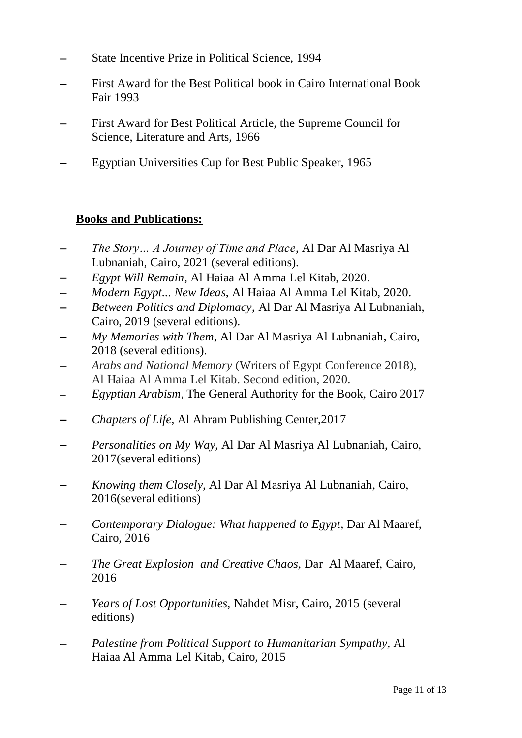- State Incentive Prize in Political Science, 1994
- First Award for the Best Political book in Cairo International Book Fair 1993
- First Award for Best Political Article, the Supreme Council for Science, Literature and Arts, 1966
- Egyptian Universities Cup for Best Public Speaker, 1965

### **Books and Publications:**

- *The Story… A Journey of Time and Place*, Al Dar Al Masriya Al Lubnaniah, Cairo, 2021 (several editions).
- *Egypt Will Remain*, Al Haiaa Al Amma Lel Kitab, 2020.
- *Modern Egypt... New Ideas*, Al Haiaa Al Amma Lel Kitab, 2020.
- *Between Politics and Diplomacy*, Al Dar Al Masriya Al Lubnaniah, Cairo, 2019 (several editions).
- *My Memories with Them*, Al Dar Al Masriya Al Lubnaniah, Cairo, 2018 (several editions).
- *Arabs and National Memory* (Writers of Egypt Conference 2018), Al Haiaa Al Amma Lel Kitab. Second edition, 2020.
- *Egyptian Arabism*, The General Authority for the Book, Cairo 2017
- *Chapters of Life*, Al Ahram Publishing Center,2017
- *Personalities on My Way,* Al Dar Al Masriya Al Lubnaniah, Cairo, 2017(several editions)
- *Knowing them Closely,* Al Dar Al Masriya Al Lubnaniah, Cairo, 2016(several editions)
- *Contemporary Dialogue: What happened to Egypt,* Dar Al Maaref, Cairo, 2016
- *The Great Explosion and Creative Chaos,* Dar Al Maaref, Cairo, 2016
- *Years of Lost Opportunities,* Nahdet Misr, Cairo, 2015 (several editions)
- *Palestine from Political Support to Humanitarian Sympathy,* Al Haiaa Al Amma Lel Kitab, Cairo, 2015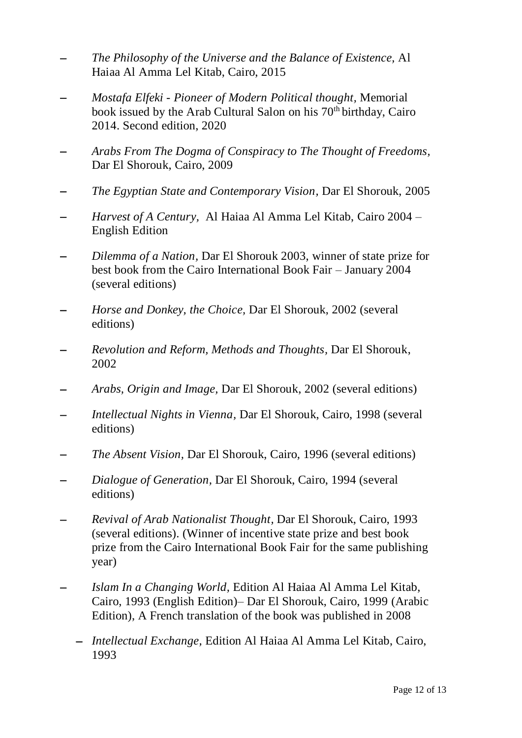- *The Philosophy of the Universe and the Balance of Existence,* Al Haiaa Al Amma Lel Kitab, Cairo, 2015
- *Mostafa Elfeki - Pioneer of Modern Political thought,* Memorial book issued by the Arab Cultural Salon on his  $70<sup>th</sup>$  birthday, Cairo 2014. Second edition, 2020
- *Arabs From The Dogma of Conspiracy to The Thought of Freedoms,* Dar El Shorouk, Cairo, 2009
- *The Egyptian State and Contemporary Vision,* Dar El Shorouk, 2005
- *Harvest of A Century,* Al Haiaa Al Amma Lel Kitab, Cairo 2004 English Edition
- *Dilemma of a Nation,* Dar El Shorouk 2003, winner of state prize for best book from the Cairo International Book Fair – January 2004 (several editions)
- *Horse and Donkey, the Choice,* Dar El Shorouk, 2002 (several editions)
- *Revolution and Reform, Methods and Thoughts,* Dar El Shorouk, 2002
- *Arabs, Origin and Image,* Dar El Shorouk, 2002 (several editions)
- *Intellectual Nights in Vienna,* Dar El Shorouk, Cairo, 1998 (several editions)
- *The Absent Vision,* Dar El Shorouk, Cairo, 1996 (several editions)
- *Dialogue of Generation,* Dar El Shorouk, Cairo, 1994 (several editions)
- *Revival of Arab Nationalist Thought,* Dar El Shorouk, Cairo, 1993 (several editions). (Winner of incentive state prize and best book prize from the Cairo International Book Fair for the same publishing year)
- *Islam In a Changing World,* Edition Al Haiaa Al Amma Lel Kitab, Cairo, 1993 (English Edition)– Dar El Shorouk, Cairo, 1999 (Arabic Edition), A French translation of the book was published in 2008
	- *Intellectual Exchange,* Edition Al Haiaa Al Amma Lel Kitab, Cairo, 1993